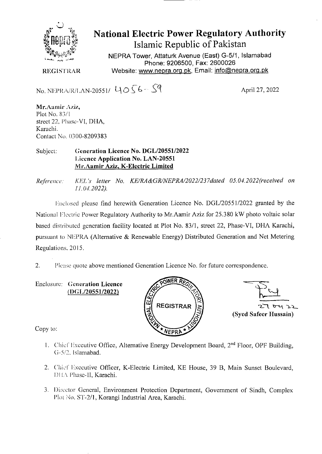

**National Electric Power Regulatory Authority Islamic Republic of Pakistan** 

NEPRA Tower, Attaturk Avenue (East) G-5/1, Islamabad Phone: 9206500, Fax: 2600026 Website: www.nepra.org.pk, Email: info@nepra.org.pk

**REGISTRAR** 

No. NEPRA/R/LAN-20551/  $4056 - 59$  April 27, 2022

Mr.Aamir Aziz, Plot No. \$3/I street 22, Phase-VI, DHA, Karachi. Contact No. 0300-8209383

Subject: **Generation Licence No. DGL/20551/2022 Licence Application No. LAN-20551 Mr.Aamir Aziz, K-Electric Limited** 

*Reference: KEJ. 's letter No. KE/RA&Gk/NEPRA/2022/237dated 05. 04.2022(received on 11.04.2022).* 

Enclosed please find herewith Generation Licence No. DGL/20551/2022 granted by the National Flectric Power Regulatory Authority to Mr.Aamir Aziz for 25.380 kW photo voltaic solar based distributed generation facility located at Plot No. 83/1, street 22, Phase-VI, DHA Karachi, pursuant to NEPRA (Alternative & Renewable Energy) Distributed Generation and Net Metering Regulations. 2015.

2. Please quote above mentioned Generation Licence No. for future correspondence.

Enclosure: **Generation Licence (I)GL/20551/2022)** 





Copy to:

- 1. Chief Executive Office, Alternative Energy Development Board, 2<sup>nd</sup> Floor, OPF Building, (1-5/2. Islamabad.
- 2. Chief Executive Officer, K-Electric Limited, KE House, 39 B, Main Sunset Boulevard, I)! L\ Phase-lI, Karachi.
- 3. l)ircetor General, Environment Protection Department, Government of Sindh, Complex Plot No. ST-2/1, Korangi Industrial Area, Karachi.